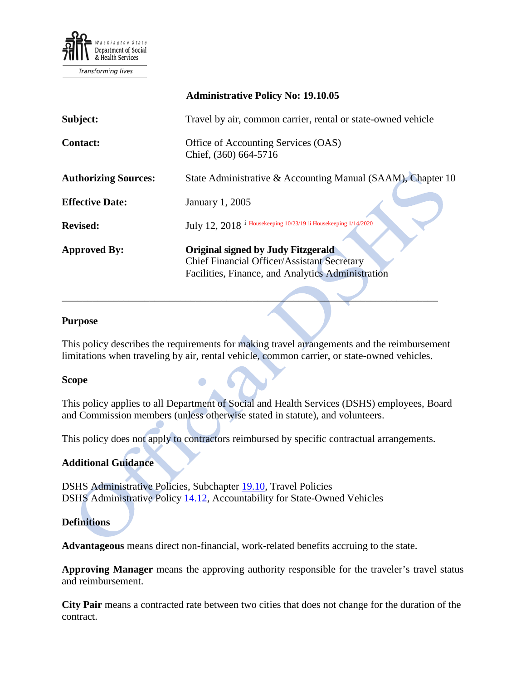

Transforming lives

|                             | <b>Administrative Policy No: 19.10.05</b>                                                                                                            |
|-----------------------------|------------------------------------------------------------------------------------------------------------------------------------------------------|
| Subject:                    | Travel by air, common carrier, rental or state-owned vehicle                                                                                         |
| <b>Contact:</b>             | Office of Accounting Services (OAS)<br>Chief, (360) 664-5716                                                                                         |
| <b>Authorizing Sources:</b> | State Administrative & Accounting Manual (SAAM), Chapter 10                                                                                          |
| <b>Effective Date:</b>      | January 1, 2005                                                                                                                                      |
| <b>Revised:</b>             | July 12, 2018 <sup>i</sup> Housekeeping 10/23/19 ii Housekeeping 1/14/2020                                                                           |
| <b>Approved By:</b>         | <b>Original signed by Judy Fitzgerald</b><br><b>Chief Financial Officer/Assistant Secretary</b><br>Facilities, Finance, and Analytics Administration |

#### **Purpose**

This policy describes the requirements for making travel arrangements and the reimbursement limitations when traveling by air, rental vehicle, common carrier, or state-owned vehicles.

 $\overbrace{\phantom{xxxxx}}$ 

#### **Scope**

This policy applies to all Department of Social and Health Services (DSHS) employees, Board and Commission members (unless otherwise stated in statute), and volunteers.

This policy does not apply to contractors reimbursed by specific contractual arrangements.

## **Additional Guidance**

DSHS Administrative Policies, Subchapter [19.10,](http://one.dshs.wa.lcl/policies/Pages/default.aspx) Travel Policies DSHS Administrative Policy [14.12,](http://one.dshs.wa.lcl/Policies/Administrative/DSHS-AP-14-12.pdf) Accountability for State-Owned Vehicles

### **Definitions**

**Advantageous** means direct non-financial, work-related benefits accruing to the state.

**Approving Manager** means the approving authority responsible for the traveler's travel status and reimbursement.

**City Pair** means a contracted rate between two cities that does not change for the duration of the contract.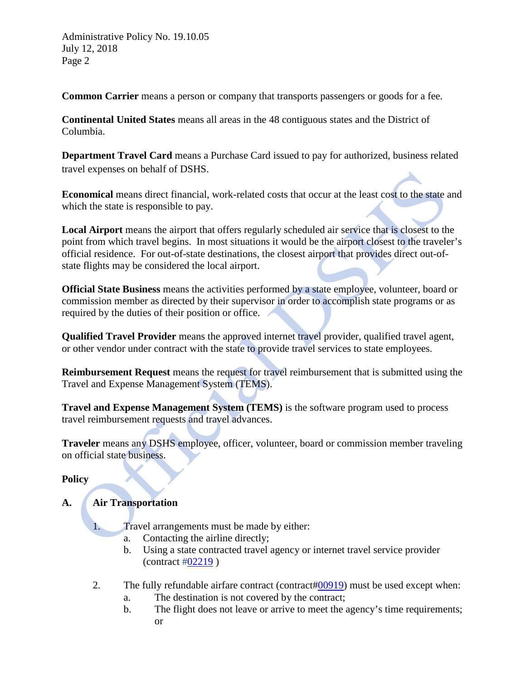Administrative Policy No. 19.10.05 July 12, 2018 Page 2

**Common Carrier** means a person or company that transports passengers or goods for a fee.

**Continental United States** means all areas in the 48 contiguous states and the District of Columbia.

**Department Travel Card** means a Purchase Card issued to pay for authorized, business related travel expenses on behalf of DSHS.

**Economical** means direct financial, work-related costs that occur at the least cost to the state and which the state is responsible to pay.

**Local Airport** means the airport that offers regularly scheduled air service that is closest to the point from which travel begins. In most situations it would be the airport closest to the traveler's official residence. For out-of-state destinations, the closest airport that provides direct out-ofstate flights may be considered the local airport.

**Official State Business** means the activities performed by a state employee, volunteer, board or commission member as directed by their supervisor in order to accomplish state programs or as required by the duties of their position or office.

**Qualified Travel Provider** means the approved internet travel provider, qualified travel agent, or other vendor under contract with the state to provide travel services to state employees.

**Reimbursement Request** means the request for travel reimbursement that is submitted using the Travel and Expense Management System (TEMS).

**Travel and Expense Management System (TEMS)** is the software program used to process travel reimbursement requests and travel advances.

**Traveler** means any DSHS employee, officer, volunteer, board or commission member traveling on official state business.

## **Policy**

# **A. Air Transportation**

1. Travel arrangements must be made by either:

- a. Contacting the airline directly;
- b. Using a state contracted travel agency or internet travel service provider (contract  $\#02219$  $\#02219$ )
- 2. The fully refundable airfare contract (contract[#00919\)](https://apps.des.wa.gov/DESContracts/Home/ContractSummary/00919) must be used except when:
	- a. The destination is not covered by the contract;
	- b. The flight does not leave or arrive to meet the agency's time requirements; or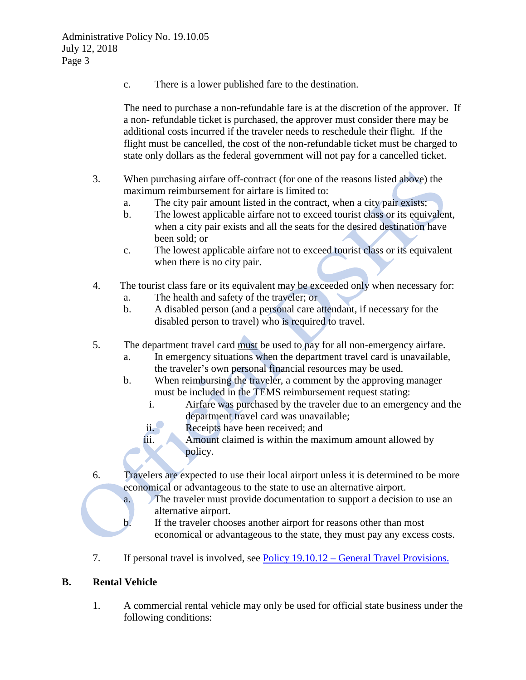c. There is a lower published fare to the destination.

The need to purchase a non-refundable fare is at the discretion of the approver. If a non- refundable ticket is purchased, the approver must consider there may be additional costs incurred if the traveler needs to reschedule their flight. If the flight must be cancelled, the cost of the non-refundable ticket must be charged to state only dollars as the federal government will not pay for a cancelled ticket.

- 3. When purchasing airfare off-contract (for one of the reasons listed above) the maximum reimbursement for airfare is limited to:
	- a. The city pair amount listed in the contract, when a city pair exists;
	- b. The lowest applicable airfare not to exceed tourist class or its equivalent, when a city pair exists and all the seats for the desired destination have been sold; or
	- c. The lowest applicable airfare not to exceed tourist class or its equivalent when there is no city pair.
- 4. The tourist class fare or its equivalent may be exceeded only when necessary for:
	- a. The health and safety of the traveler; or
	- b. A disabled person (and a personal care attendant, if necessary for the disabled person to travel) who is required to travel.
- 5. The department travel card must be used to pay for all non-emergency airfare.
	- a. In emergency situations when the department travel card is unavailable, the traveler's own personal financial resources may be used.
	- b. When reimbursing the traveler, a comment by the approving manager must be included in the TEMS reimbursement request stating:
		- i. Airfare was purchased by the traveler due to an emergency and the department travel card was unavailable;
		- ii. Receipts have been received; and
		- iii. Amount claimed is within the maximum amount allowed by policy.
- 6. Travelers are expected to use their local airport unless it is determined to be more economical or advantageous to the state to use an alternative airport.
	- a. The traveler must provide documentation to support a decision to use an alternative airport.
	- b. If the traveler chooses another airport for reasons other than most economical or advantageous to the state, they must pay any excess costs.
- 7. If personal travel is involved, see Policy 19.10.12 [General Travel Provisions.](http://one.dshs.wa.lcl/Policies/Administrative/DSHS-AP-19-10-12.pdf)

## **B. Rental Vehicle**

1. A commercial rental vehicle may only be used for official state business under the following conditions: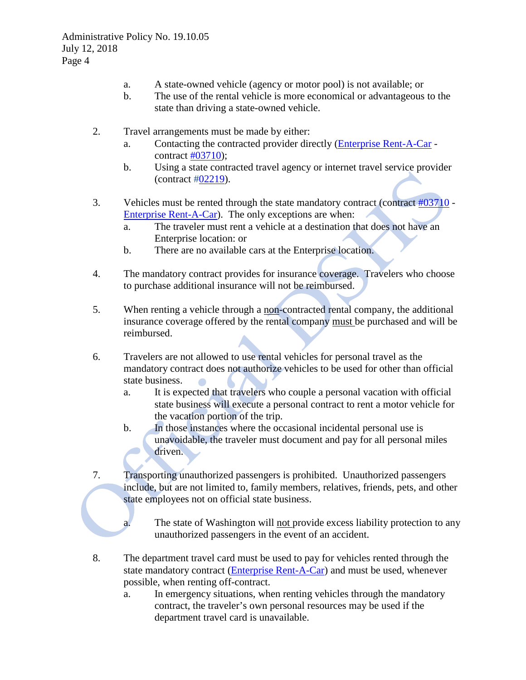- a. A state-owned vehicle (agency or motor pool) is not available; or
- b. The use of the rental vehicle is more economical or advantageous to the state than driving a state-owned vehicle.
- 2. Travel arrangements must be made by either:
	- a. Contacting the contracted provider directly [\(Enterprise Rent-A-Car](http://www.enterprise.com/car_rental/home.do) contract [#03710\)](https://apps.des.wa.gov/DESContracts/Home/ContractSummary/03710);
	- b. Using a state contracted travel agency or internet travel service provider (contract [#02219\)](https://apps.des.wa.gov/DESContracts/Home/ContractSummary/02219).
- 3. Vehicles must be rented through the state mandatory contract (contract  $\text{\#03710}$  -[Enterprise Rent-A-Car\)](http://www.enterprise.com/car_rental/home.do). The only exceptions are when:
	- a. The traveler must rent a vehicle at a destination that does not have an Enterprise location: or
	- b. There are no available cars at the Enterprise location.
- 4. The mandatory contract provides for insurance coverage. Travelers who choose to purchase additional insurance will not be reimbursed.
- 5. When renting a vehicle through a non-contracted rental company, the additional insurance coverage offered by the rental company must be purchased and will be reimbursed.
- 6. Travelers are not allowed to use rental vehicles for personal travel as the mandatory contract does not authorize vehicles to be used for other than official state business.
	- a. It is expected that travelers who couple a personal vacation with official state business will execute a personal contract to rent a motor vehicle for the vacation portion of the trip.
	- b. In those instances where the occasional incidental personal use is unavoidable, the traveler must document and pay for all personal miles driven.
- 7. Transporting unauthorized passengers is prohibited. Unauthorized passengers include, but are not limited to, family members, relatives, friends, pets, and other state employees not on official state business.
	- a. The state of Washington will not provide excess liability protection to any unauthorized passengers in the event of an accident.
- 8. The department travel card must be used to pay for vehicles rented through the state mandatory contract [\(Enterprise Rent-A-Car\)](http://www.enterprise.com/car_rental/home.do) and must be used, whenever possible, when renting off-contract.
	- a. In emergency situations, when renting vehicles through the mandatory contract, the traveler's own personal resources may be used if the department travel card is unavailable.